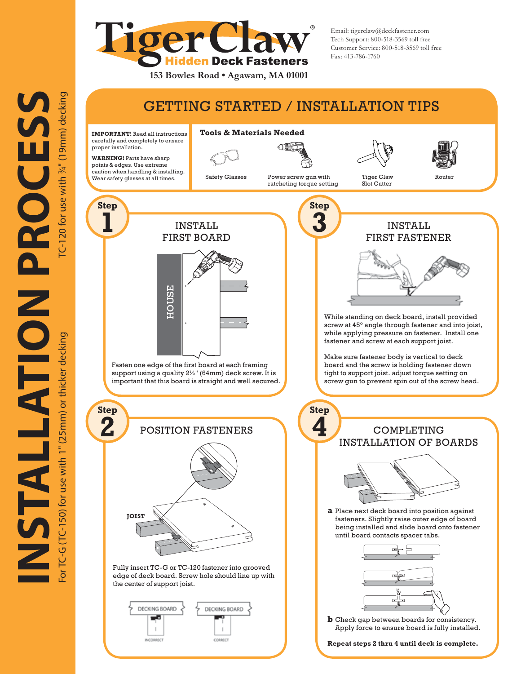

Email: tigerclaw@deckfastener.com Tech Support: 800-518-3569 toll free Customer Service: 800-518-3569 toll free Fax: 413-786-1760

# GETTING STARTED / INSTALLATION TIPS